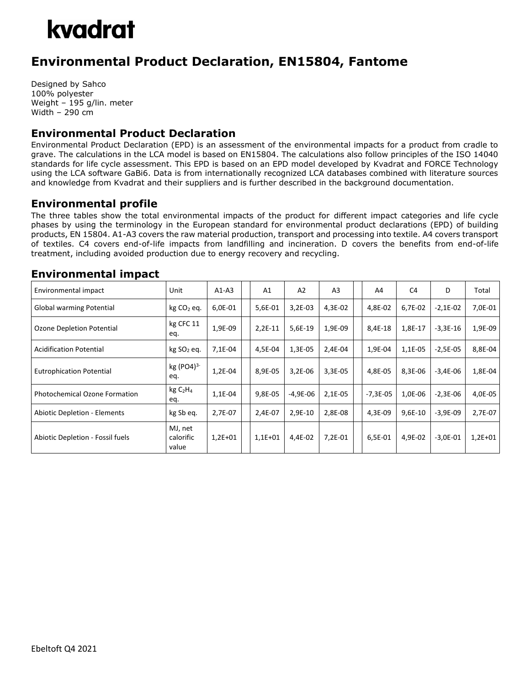

## **Environmental Product Declaration, EN15804, Fantome**

Designed by Sahco 100% polyester Weight – 195 g/lin. meter Width – 290 cm

### **Environmental Product Declaration**

Environmental Product Declaration (EPD) is an assessment of the environmental impacts for a product from cradle to grave. The calculations in the LCA model is based on EN15804. The calculations also follow principles of the ISO 14040 standards for life cycle assessment. This EPD is based on an EPD model developed by Kvadrat and FORCE Technology using the LCA software GaBi6. Data is from internationally recognized LCA databases combined with literature sources and knowledge from Kvadrat and their suppliers and is further described in the background documentation.

#### **Environmental profile**

The three tables show the total environmental impacts of the product for different impact categories and life cycle phases by using the terminology in the European standard for environmental product declarations (EPD) of building products, EN 15804. A1-A3 covers the raw material production, transport and processing into textile. A4 covers transport of textiles. C4 covers end-of-life impacts from landfilling and incineration. D covers the benefits from end-of-life treatment, including avoided production due to energy recovery and recycling.

#### **Environmental impact**

| Environmental impact                 | Unit                                   | $A1-A3$   | A1        | A2        | A <sub>3</sub> | A4         | C <sub>4</sub> | D          | Total     |
|--------------------------------------|----------------------------------------|-----------|-----------|-----------|----------------|------------|----------------|------------|-----------|
| Global warming Potential             | $kg CO2$ eq.                           | 6,0E-01   | 5,6E-01   | $3,2E-03$ | 4,3E-02        | 4,8E-02    | 6,7E-02        | $-2,1E-02$ | 7,0E-01   |
| Ozone Depletion Potential            | kg CFC 11<br>eq.                       | 1,9E-09   | 2,2E-11   | 5,6E-19   | 1,9E-09        | 8,4E-18    | 1,8E-17        | $-3,3E-16$ | 1,9E-09   |
| <b>Acidification Potential</b>       | kg SO <sub>2</sub> eq.                 | 7,1E-04   | 4,5E-04   | 1,3E-05   | 2,4E-04        | 1,9E-04    | 1,1E-05        | $-2,5E-05$ | 8,8E-04   |
| <b>Eutrophication Potential</b>      | $kg (PO4)^3$<br>eq.                    | 1,2E-04   | 8,9E-05   | 3,2E-06   | $3,3E-05$      | 4,8E-05    | 8,3E-06        | $-3,4E-06$ | $1,8E-04$ |
| <b>Photochemical Ozone Formation</b> | kgC <sub>2</sub> H <sub>4</sub><br>eq. | 1,1E-04   | 9,8E-05   | -4,9E-06  | 2,1E-05        | $-7,3E-05$ | 1,0E-06        | $-2,3E-06$ | 4,0E-05   |
| <b>Abiotic Depletion - Elements</b>  | kg Sb eq.                              | 2,7E-07   | 2,4E-07   | 2,9E-10   | 2,8E-08        | 4,3E-09    | 9,6E-10        | $-3,9E-09$ | 2,7E-07   |
| Abiotic Depletion - Fossil fuels     | MJ, net<br>calorific<br>value          | $1,2E+01$ | $1,1E+01$ | 4,4E-02   | $7,2E-01$      | 6,5E-01    | 4,9E-02        | $-3,0E-01$ | $1,2E+01$ |